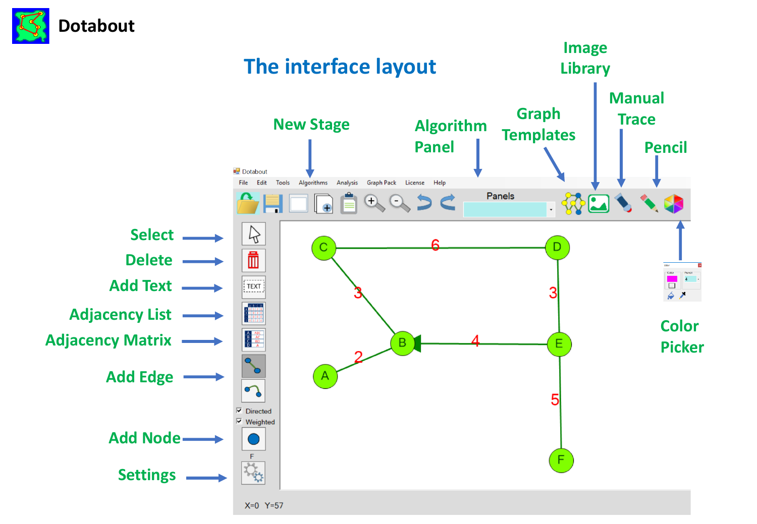

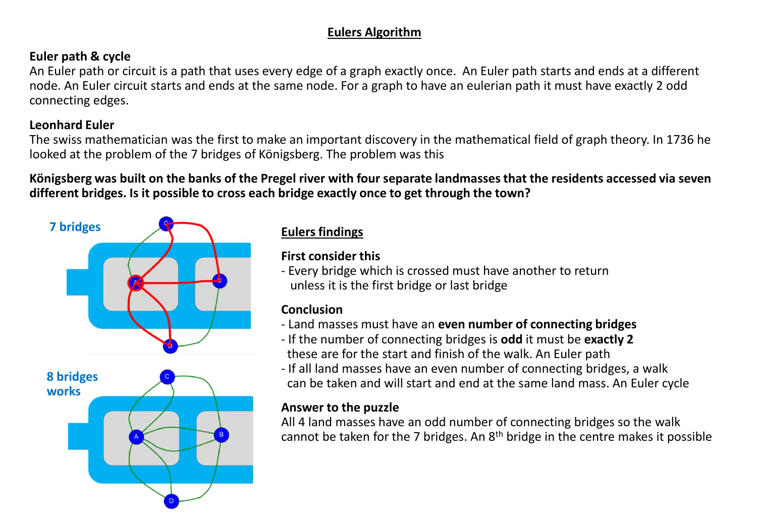#### **Eulers Algorithm**

#### **Euler path & cycle**

An Euler path or circuit is a path that uses every edge of a graph exactly once. An Euler path starts and ends at a different node. An Euler circuit starts and ends at the same node. For a graph to have an eulerian path it must have exactly 2 odd connecting edges.

#### **Leonhard Euler**

The swiss mathematician was the first to make an important discovery in the mathematical field of graph theory. In 1736 he looked at the problem of the 7 bridges of Königsberg. The problem was this

**Königsberg was built on the banks of the Pregel river with four separate landmasses that the residents accessed via seven different bridges. Is it possible to cross each bridge exactly once to get through the town?**



#### **Eulers findings**

**First consider this**

- Every bridge which is crossed must have another to return unless it is the first bridge or last bridge

#### **Conclusion**

- Land masses must have an **even number of connecting bridges**
- If the number of connecting bridges is **odd** it must be **exactly 2** these are for the start and finish of the walk. An Euler path
- If all land masses have an even number of connecting bridges, a walk can be taken and will start and end at the same land mass. An Euler cycle

#### **Answer to the puzzle**

All 4 land masses have an odd number of connecting bridges so the walk cannot be taken for the 7 bridges. An  $8<sup>th</sup>$  bridge in the centre makes it possible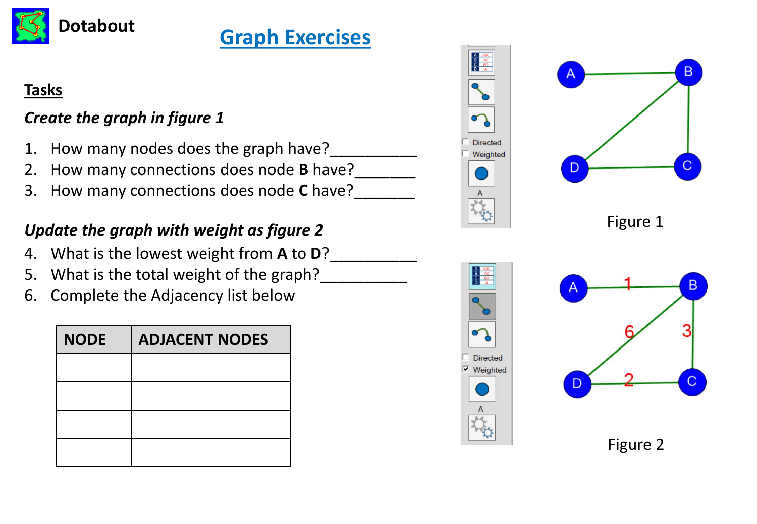

# **Dotabout Graph Exercises**

## **Tasks**

## *Create the graph in figure 1*

- 1. How many nodes does the graph have?
- 2. How many connections does node **B** have?
- 3. How many connections does node **C** have?\_\_\_\_\_\_\_

## *Update the graph with weight as figure 2*

- 4. What is the lowest weight from **A** to **D**?\_\_\_\_\_\_\_\_\_\_
- 5. What is the total weight of the graph?
- 6. Complete the Adjacency list below

| <b>NODE</b> | <b>ADJACENT NODES</b> |
|-------------|-----------------------|
|             |                       |
|             |                       |
|             |                       |
|             |                       |





Figure 1